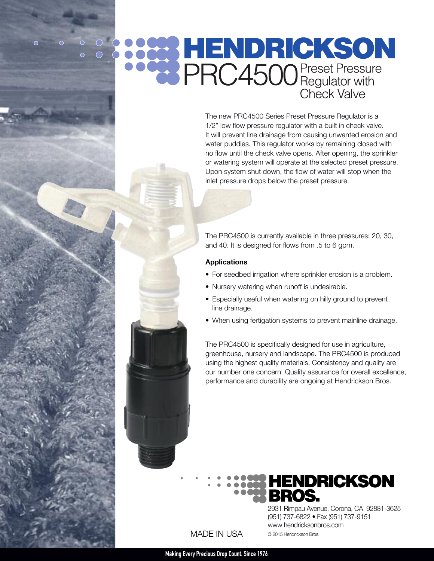# **COOR HENDRICKSON**<br> **COOR PRC4500** Preset Pressure Check Valve

The new PRC4500 Series Preset Pressure Regulator is a 1/2" low flow pressure regulator with a built in check valve. It will prevent line drainage from causing unwanted erosion and water puddles. This regulator works by remaining closed with no flow until the check valve opens. After opening, the sprinkler or watering system will operate at the selected preset pressure. Upon system shut down, the flow of water will stop when the inlet pressure drops below the preset pressure.

The PRC4500 is currently available in three pressures: 20, 30, and 40. It is designed for flows from .5 to 6 gpm.

#### **Applications**

- For seedbed irrigation where sprinkler erosion is a problem.
- Nursery watering when runoff is undesirable.
- Especially useful when watering on hilly ground to prevent line drainage.
- When using fertigation systems to prevent mainline drainage.

The PRC4500 is specifically designed for use in agriculture, greenhouse, nursery and landscape. The PRC4500 is produced using the highest quality materials. Consistency and quality are our number one concern. Quality assurance for overall excellence, performance and durability are ongoing at Hendrickson Bros.



(951) 737-6822 • Fax (951) 737-9151

www.hendricksonbros.com

© 2015 Hendrickson Bros.

MADE IN USA